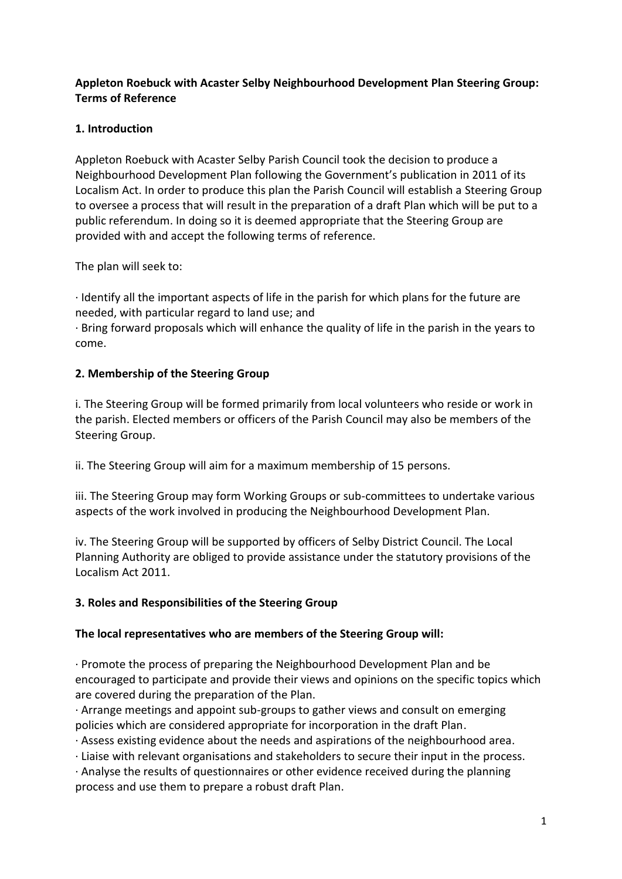# **Appleton Roebuck with Acaster Selby Neighbourhood Development Plan Steering Group: Terms of Reference**

# **1. Introduction**

Appleton Roebuck with Acaster Selby Parish Council took the decision to produce a Neighbourhood Development Plan following the Government's publication in 2011 of its Localism Act. In order to produce this plan the Parish Council will establish a Steering Group to oversee a process that will result in the preparation of a draft Plan which will be put to a public referendum. In doing so it is deemed appropriate that the Steering Group are provided with and accept the following terms of reference.

The plan will seek to:

· Identify all the important aspects of life in the parish for which plans for the future are needed, with particular regard to land use; and

· Bring forward proposals which will enhance the quality of life in the parish in the years to come.

### **2. Membership of the Steering Group**

i. The Steering Group will be formed primarily from local volunteers who reside or work in the parish. Elected members or officers of the Parish Council may also be members of the Steering Group.

ii. The Steering Group will aim for a maximum membership of 15 persons.

iii. The Steering Group may form Working Groups or sub-committees to undertake various aspects of the work involved in producing the Neighbourhood Development Plan.

iv. The Steering Group will be supported by officers of Selby District Council. The Local Planning Authority are obliged to provide assistance under the statutory provisions of the Localism Act 2011.

# **3. Roles and Responsibilities of the Steering Group**

### **The local representatives who are members of the Steering Group will:**

· Promote the process of preparing the Neighbourhood Development Plan and be encouraged to participate and provide their views and opinions on the specific topics which are covered during the preparation of the Plan.

· Arrange meetings and appoint sub-groups to gather views and consult on emerging policies which are considered appropriate for incorporation in the draft Plan.

· Assess existing evidence about the needs and aspirations of the neighbourhood area.

· Liaise with relevant organisations and stakeholders to secure their input in the process.

· Analyse the results of questionnaires or other evidence received during the planning process and use them to prepare a robust draft Plan.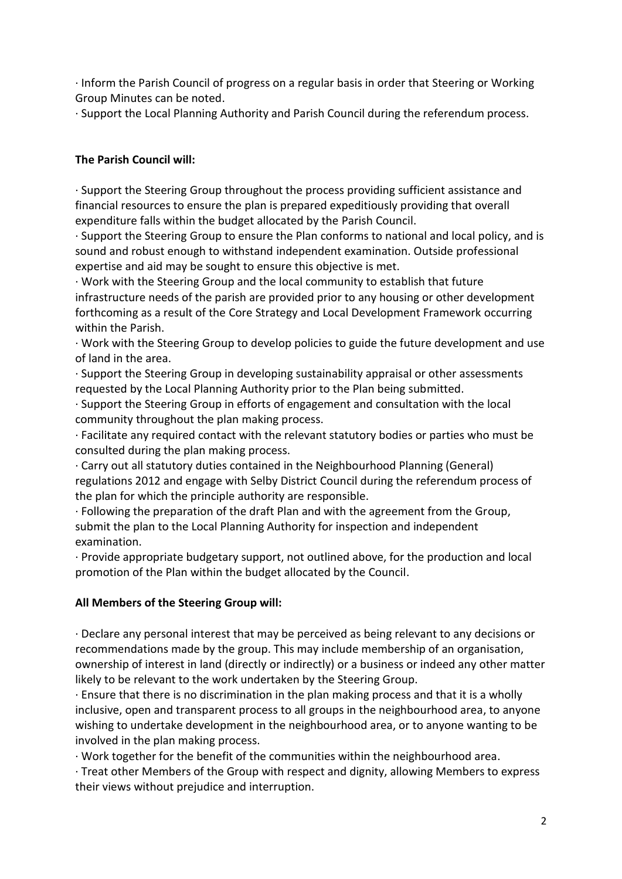· Inform the Parish Council of progress on a regular basis in order that Steering or Working Group Minutes can be noted.

· Support the Local Planning Authority and Parish Council during the referendum process.

# **The Parish Council will:**

· Support the Steering Group throughout the process providing sufficient assistance and financial resources to ensure the plan is prepared expeditiously providing that overall expenditure falls within the budget allocated by the Parish Council.

· Support the Steering Group to ensure the Plan conforms to national and local policy, and is sound and robust enough to withstand independent examination. Outside professional expertise and aid may be sought to ensure this objective is met.

· Work with the Steering Group and the local community to establish that future infrastructure needs of the parish are provided prior to any housing or other development forthcoming as a result of the Core Strategy and Local Development Framework occurring within the Parish.

· Work with the Steering Group to develop policies to guide the future development and use of land in the area.

· Support the Steering Group in developing sustainability appraisal or other assessments requested by the Local Planning Authority prior to the Plan being submitted.

· Support the Steering Group in efforts of engagement and consultation with the local community throughout the plan making process.

· Facilitate any required contact with the relevant statutory bodies or parties who must be consulted during the plan making process.

· Carry out all statutory duties contained in the Neighbourhood Planning (General) regulations 2012 and engage with Selby District Council during the referendum process of the plan for which the principle authority are responsible.

· Following the preparation of the draft Plan and with the agreement from the Group, submit the plan to the Local Planning Authority for inspection and independent examination.

· Provide appropriate budgetary support, not outlined above, for the production and local promotion of the Plan within the budget allocated by the Council.

### **All Members of the Steering Group will:**

· Declare any personal interest that may be perceived as being relevant to any decisions or recommendations made by the group. This may include membership of an organisation, ownership of interest in land (directly or indirectly) or a business or indeed any other matter likely to be relevant to the work undertaken by the Steering Group.

· Ensure that there is no discrimination in the plan making process and that it is a wholly inclusive, open and transparent process to all groups in the neighbourhood area, to anyone wishing to undertake development in the neighbourhood area, or to anyone wanting to be involved in the plan making process.

· Work together for the benefit of the communities within the neighbourhood area.

· Treat other Members of the Group with respect and dignity, allowing Members to express their views without prejudice and interruption.